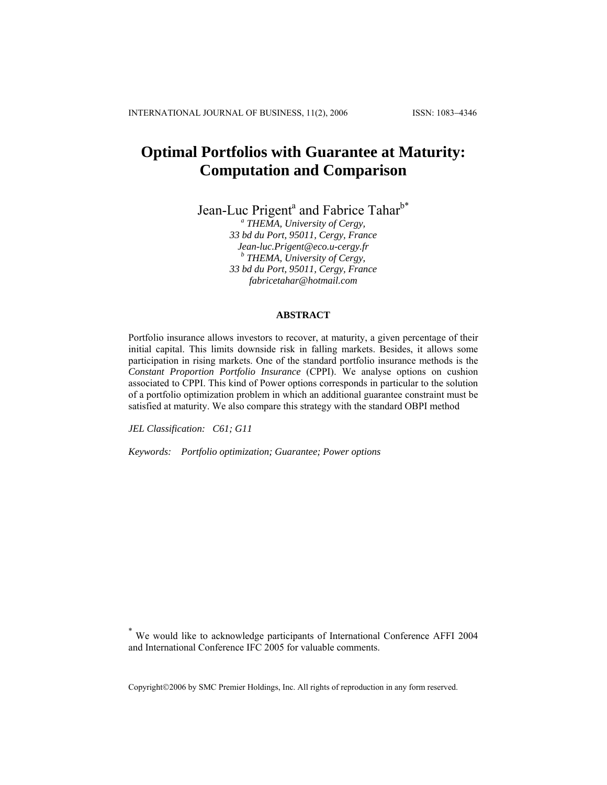# **Optimal Portfolios with Guarantee at Maturity: Computation and Comparison**

Jean-Luc Prigent<sup>a</sup> and Fabrice Tahar<sup>b\*</sup>

*a THEMA, University of Cergy, 33 bd du Port, 95011, Cergy, France [Jean-luc.Prigent@eco.u-cergy.fr](mailto:Jean-luc.Prigent@eco.u-cergy.fr) <sup>b</sup> THEMA, University of Cergy, 33 bd du Port, 95011, Cergy, France fabricetahar@hotmail.com*

## **ABSTRACT**

Portfolio insurance allows investors to recover, at maturity, a given percentage of their initial capital. This limits downside risk in falling markets. Besides, it allows some participation in rising markets. One of the standard portfolio insurance methods is the *Constant Proportion Portfolio Insurance* (CPPI). We analyse options on cushion associated to CPPI. This kind of Power options corresponds in particular to the solution of a portfolio optimization problem in which an additional guarantee constraint must be satisfied at maturity. We also compare this strategy with the standard OBPI method

*JEL Classification: C61; G11*

*Keywords: Portfolio optimization; Guarantee; Power options*

Copyright©2006 by SMC Premier Holdings, Inc. All rights of reproduction in any form reserved.

We would like to acknowledge participants of International Conference AFFI 2004 and International Conference IFC 2005 for valuable comments.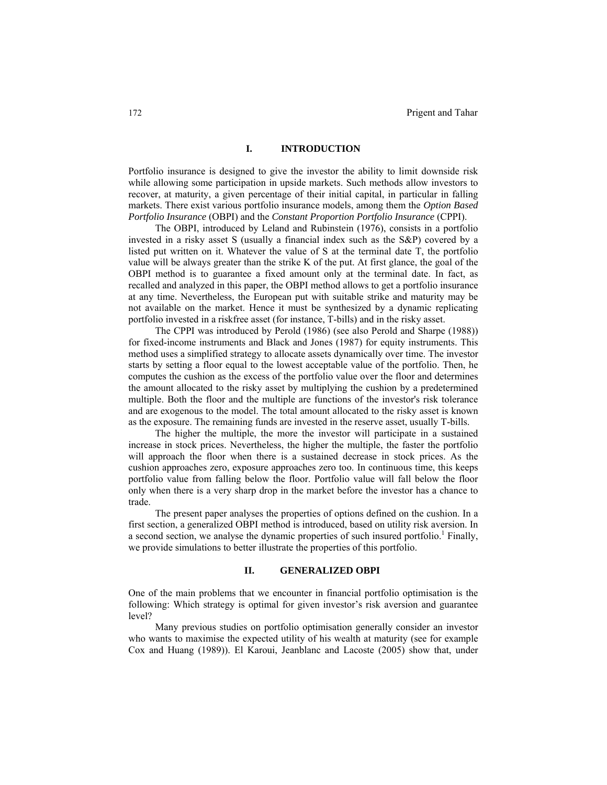## **I. INTRODUCTION**

Portfolio insurance is designed to give the investor the ability to limit downside risk while allowing some participation in upside markets. Such methods allow investors to recover, at maturity, a given percentage of their initial capital, in particular in falling markets. There exist various portfolio insurance models, among them the *Option Based Portfolio Insurance* (OBPI) and the *Constant Proportion Portfolio Insurance* (CPPI).

The OBPI, introduced by Leland and Rubinstein (1976), consists in a portfolio invested in a risky asset S (usually a financial index such as the S&P) covered by a listed put written on it. Whatever the value of S at the terminal date T, the portfolio value will be always greater than the strike K of the put. At first glance, the goal of the OBPI method is to guarantee a fixed amount only at the terminal date. In fact, as recalled and analyzed in this paper, the OBPI method allows to get a portfolio insurance at any time. Nevertheless, the European put with suitable strike and maturity may be not available on the market. Hence it must be synthesized by a dynamic replicating portfolio invested in a riskfree asset (for instance, T-bills) and in the risky asset.

The CPPI was introduced by Perold (1986) (see also Perold and Sharpe (1988)) for fixed-income instruments and Black and Jones (1987) for equity instruments. This method uses a simplified strategy to allocate assets dynamically over time. The investor starts by setting a floor equal to the lowest acceptable value of the portfolio. Then, he computes the cushion as the excess of the portfolio value over the floor and determines the amount allocated to the risky asset by multiplying the cushion by a predetermined multiple. Both the floor and the multiple are functions of the investor's risk tolerance and are exogenous to the model. The total amount allocated to the risky asset is known as the exposure. The remaining funds are invested in the reserve asset, usually T-bills.

The higher the multiple, the more the investor will participate in a sustained increase in stock prices. Nevertheless, the higher the multiple, the faster the portfolio will approach the floor when there is a sustained decrease in stock prices. As the cushion approaches zero, exposure approaches zero too. In continuous time, this keeps portfolio value from falling below the floor. Portfolio value will fall below the floor only when there is a very sharp drop in the market before the investor has a chance to trade.

The present paper analyses the properties of options defined on the cushion. In a first section, a generalized OBPI method is introduced, based on utility risk aversion. In a second section, we analyse the dynamic properties of such insured portfolio.<sup>1</sup> Finally, we provide simulations to better illustrate the properties of this portfolio.

#### **II. GENERALIZED OBPI**

One of the main problems that we encounter in financial portfolio optimisation is the following: Which strategy is optimal for given investor's risk aversion and guarantee level?

Many previous studies on portfolio optimisation generally consider an investor who wants to maximise the expected utility of his wealth at maturity (see for example Cox and Huang (1989)). El Karoui, Jeanblanc and Lacoste (2005) show that, under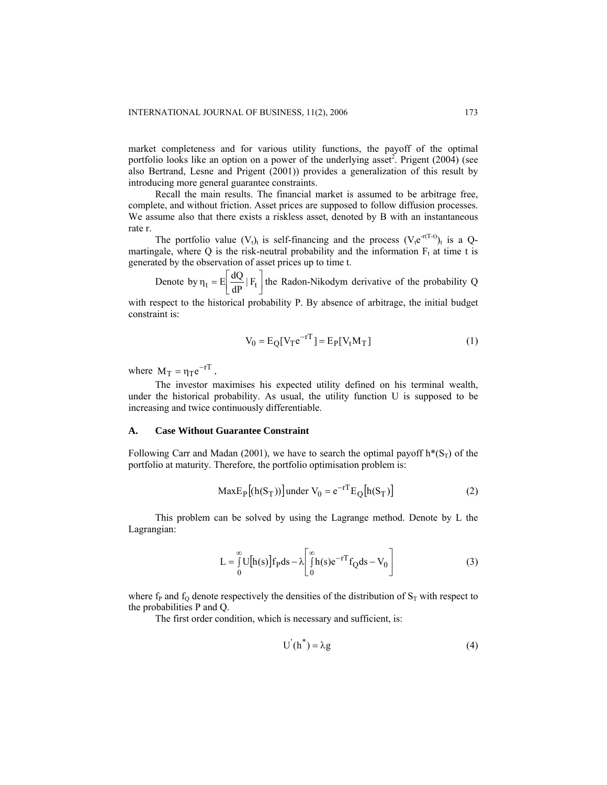market completeness and for various utility functions, the payoff of the optimal portfolio looks like an option on a power of the underlying asset<sup>2</sup>. Prigent (2004) (see also Bertrand, Lesne and Prigent (2001)) provides a generalization of this result by introducing more general guarantee constraints.

Recall the main results. The financial market is assumed to be arbitrage free, complete, and without friction. Asset prices are supposed to follow diffusion processes. We assume also that there exists a riskless asset, denoted by B with an instantaneous rate r.

The portfolio value  $(V_t)_t$  is self-financing and the process  $(V_t e^{r(T-t)})_t$  is a Qmartingale, where Q is the risk-neutral probability and the information  $F_t$  at time t is generated by the observation of asset prices up to time t.

Denote by  $\eta_t = E \left[ \frac{dQ}{dP} | F_t \right]$  $\eta_t = E \left[ \frac{dQ}{dP} | F_t \right]$  the Radon-Nikodym derivative of the probability Q

with respect to the historical probability P. By absence of arbitrage, the initial budget constraint is:

$$
V_0 = E_Q[V_T e^{-rT}] = E_P[V_t M_T]
$$
 (1)

where  $M_T = \eta_T e^{-rT}$ .

The investor maximises his expected utility defined on his terminal wealth, under the historical probability. As usual, the utility function U is supposed to be increasing and twice continuously differentiable.

## **A. Case Without Guarantee Constraint**

Following Carr and Madan (2001), we have to search the optimal payoff  $h^*(S_T)$  of the portfolio at maturity. Therefore, the portfolio optimisation problem is:

$$
MaxE_P[(h(S_T))] under V_0 = e^{-rT}E_Q[h(S_T)]
$$
 (2)

This problem can be solved by using the Lagrange method. Denote by L the Lagrangian:

$$
L = \int_{0}^{\infty} U[h(s)]f_p ds - \lambda \left[ \int_{0}^{\infty} h(s)e^{-rT}f_Q ds - V_0 \right]
$$
 (3)

where  $f_P$  and  $f_Q$  denote respectively the densities of the distribution of  $S_T$  with respect to the probabilities P and Q.

The first order condition, which is necessary and sufficient, is:

$$
U'(h^*) = \lambda g \tag{4}
$$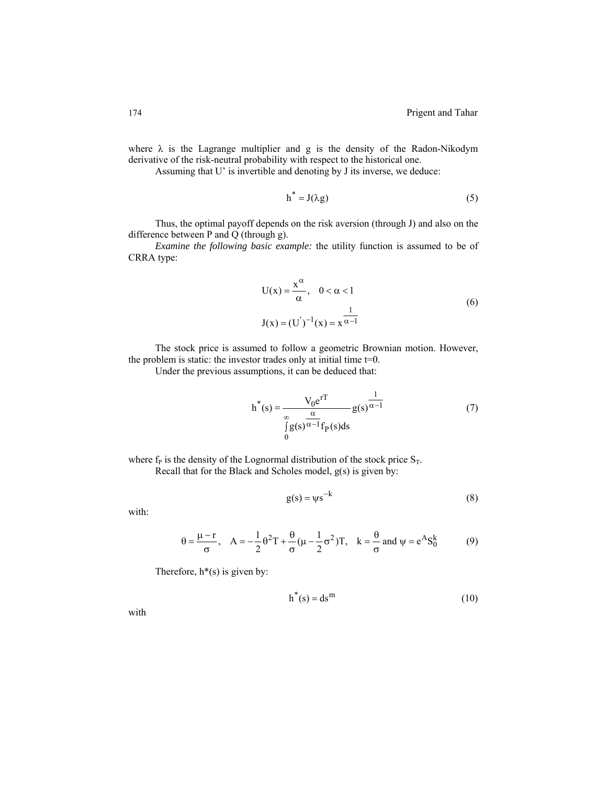where  $\lambda$  is the Lagrange multiplier and g is the density of the Radon-Nikodym derivative of the risk-neutral probability with respect to the historical one.

Assuming that U' is invertible and denoting by J its inverse, we deduce:

$$
h^* = J(\lambda g) \tag{5}
$$

Thus, the optimal payoff depends on the risk aversion (through J) and also on the difference between P and Q (through g).

*Examine the following basic example:* the utility function is assumed to be of CRRA type:

$$
U(x) = \frac{x^{\alpha}}{\alpha}, \quad 0 < \alpha < 1
$$
  
\n
$$
J(x) = (U^{'})^{-1}(x) = x^{\frac{1}{\alpha - 1}}
$$
\n(6)

The stock price is assumed to follow a geometric Brownian motion. However, the problem is static: the investor trades only at initial time t=0.

Under the previous assumptions, it can be deduced that:

$$
h^*(s) = \frac{V_0 e^{rT}}{\int_{0}^{\infty} g(s)^{\alpha - 1} f_P(s) ds}
$$
 (7)

where  $f_P$  is the density of the Lognormal distribution of the stock price  $S_T$ . Recall that for the Black and Scholes model, g(s) is given by:

$$
g(s) = \psi s^{-k} \tag{8}
$$

with:

$$
\theta = \frac{\mu - r}{\sigma}, \quad A = -\frac{1}{2}\theta^2 T + \frac{\theta}{\sigma}(\mu - \frac{1}{2}\sigma^2)T, \quad k = \frac{\theta}{\sigma} \text{ and } \psi = e^A S_0^k \tag{9}
$$

Therefore,  $h^*(s)$  is given by:

$$
h^*(s) = ds^m \tag{10}
$$

with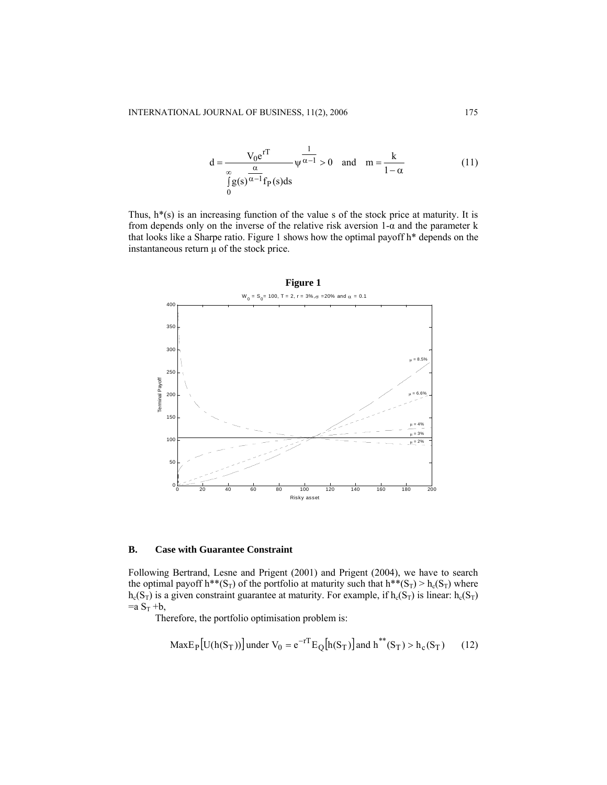$$
d = \frac{V_0 e^{rT}}{\int_{0}^{\infty} g(s)^{\frac{\alpha}{\alpha - 1}} f_P(s) ds} \psi^{\frac{1}{\alpha - 1}} > 0 \text{ and } m = \frac{k}{1 - \alpha}
$$
 (11)

Thus,  $h^*(s)$  is an increasing function of the value s of the stock price at maturity. It is from depends only on the inverse of the relative risk aversion 1-α and the parameter k that looks like a Sharpe ratio. Figure 1 shows how the optimal payoff h\* depends on the instantaneous return  $\mu$  of the stock price.



# **B. Case with Guarantee Constraint**

Following Bertrand, Lesne and Prigent (2001) and Prigent (2004), we have to search the optimal payoff h<sup>\*\*</sup>(S<sub>T</sub>) of the portfolio at maturity such that h<sup>\*\*</sup>(S<sub>T</sub>) > h<sub>c</sub>(S<sub>T</sub>) where  $h_c(S_T)$  is a given constraint guarantee at maturity. For example, if  $h_c(S_T)$  is linear:  $h_c(S_T)$  $=a S_T +b$ ,

Therefore, the portfolio optimisation problem is:

$$
MaxE_{P}[U(h(S_{T}))] \text{ under } V_{0} = e^{-rT} E_{Q}[h(S_{T})] \text{ and } h^{**}(S_{T}) > h_{c}(S_{T}) \qquad (12)
$$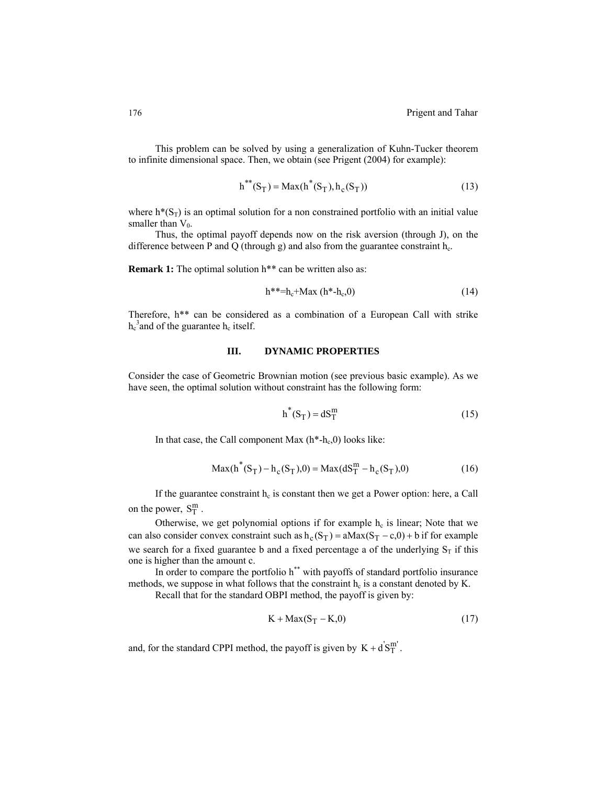This problem can be solved by using a generalization of Kuhn-Tucker theorem to infinite dimensional space. Then, we obtain (see Prigent (2004) for example):

$$
h^{**}(S_T) = Max(h^*(S_T), h_c(S_T))
$$
\n(13)

where  $h^*(S_T)$  is an optimal solution for a non constrained portfolio with an initial value smaller than  $V_0$ .

Thus, the optimal payoff depends now on the risk aversion (through J), on the difference between P and Q (through g) and also from the guarantee constraint  $h_c$ .

**Remark 1:** The optimal solution h<sup>\*\*</sup> can be written also as:

$$
h^{**}=h_c+Max(h^*-h_c,0)
$$
 (14)

Therefore, h\*\* can be considered as a combination of a European Call with strike  $h_c^3$  and of the guarantee  $h_c$  itself.

#### **III. DYNAMIC PROPERTIES**

Consider the case of Geometric Brownian motion (see previous basic example). As we have seen, the optimal solution without constraint has the following form:

$$
h^*(S_T) = dS_T^m \tag{15}
$$

In that case, the Call component Max  $(h<sup>*</sup>-h<sub>c</sub>,0)$  looks like:

$$
Max(h^*(S_T) - h_c(S_T), 0) = Max(dS_T^m - h_c(S_T), 0)
$$
\n(16)

If the guarantee constraint  $h_c$  is constant then we get a Power option: here, a Call on the power,  $S_T^m$ .

Otherwise, we get polynomial options if for example  $h_c$  is linear; Note that we can also consider convex constraint such as  $h_c(S_T) = aMax(S_T - c, 0) + b$  if for example we search for a fixed guarantee b and a fixed percentage a of the underlying  $S_T$  if this one is higher than the amount c.

In order to compare the portfolio h\*\* with payoffs of standard portfolio insurance methods, we suppose in what follows that the constraint  $h_c$  is a constant denoted by K.

Recall that for the standard OBPI method, the payoff is given by:

$$
K + \text{Max}(S_T - K, 0) \tag{17}
$$

and, for the standard CPPI method, the payoff is given by  $K + d'S_T^{m'}$ .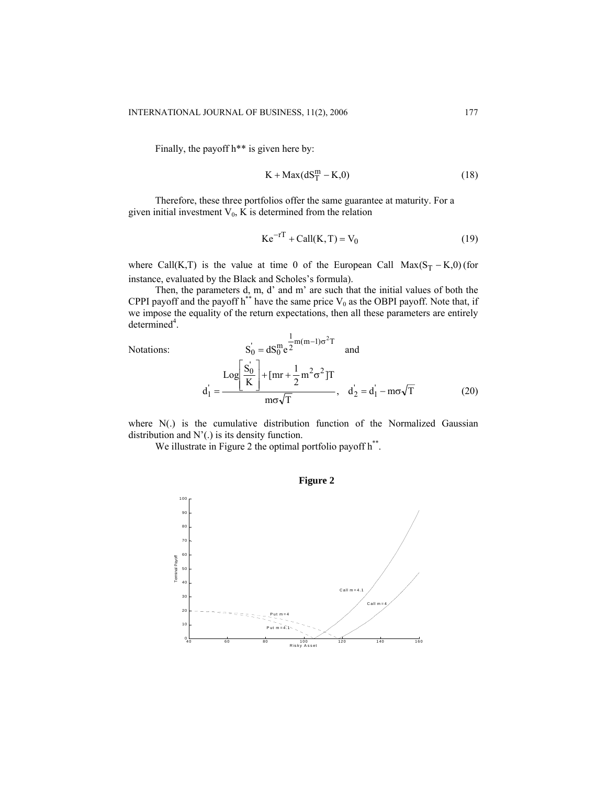Finally, the payoff h\*\* is given here by:

$$
K + \text{Max}(dS_T^m - K, 0) \tag{18}
$$

Therefore, these three portfolios offer the same guarantee at maturity. For a given initial investment  $V_0$ , K is determined from the relation

$$
Ke^{-rT} + Call(K, T) = V_0
$$
 (19)

where Call(K,T) is the value at time 0 of the European Call  $Max(S_T - K,0)$  (for instance, evaluated by the Black and Scholes's formula).

Then, the parameters  $d_2$  m, d' and m' are such that the initial values of both the CPPI payoff and the payoff h<sup>\*\*</sup> have the same price  $V_0$  as the OBPI payoff. Note that, if we impose the equality of the return expectations, then all these parameters are entirely  $determined<sup>4</sup>$ .

Notations:

$$
S_0 = dS_0^m e^{\frac{1}{2}m(m-1)\sigma^2 T} \text{ and}
$$
  

$$
d_1 = \frac{\text{Log}\left[\frac{S_0'}{K}\right] + [\text{mr} + \frac{1}{2}m^2\sigma^2]T}{m\sigma\sqrt{T}}, d_2' = d_1 - m\sigma\sqrt{T}
$$
 (20)

where  $N(.)$  is the cumulative distribution function of the Normalized Gaussian distribution and N'(.) is its density function.

We illustrate in Figure 2 the optimal portfolio payoff  $h^{**}$ .

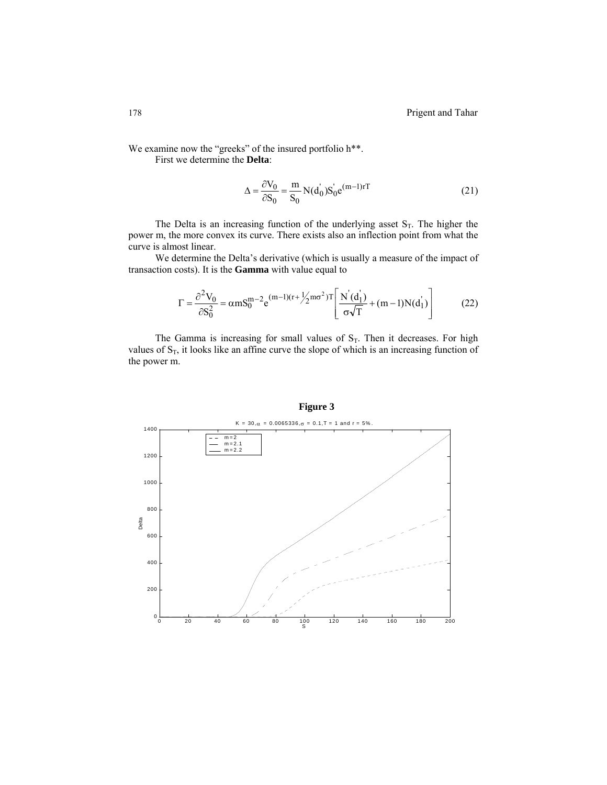We examine now the "greeks" of the insured portfolio h\*\*. First we determine the **Delta**:

$$
\Delta = \frac{\partial V_0}{\partial S_0} = \frac{m}{S_0} N(d_0) S_0' e^{(m-1)rT}
$$
\n(21)

The Delta is an increasing function of the underlying asset  $S_T$ . The higher the power m, the more convex its curve. There exists also an inflection point from what the curve is almost linear.

We determine the Delta's derivative (which is usually a measure of the impact of transaction costs). It is the **Gamma** with value equal to

$$
\Gamma = \frac{\partial^2 V_0}{\partial S_0^2} = \alpha m S_0^{m-2} e^{(m-1)(r + \frac{1}{2}m\sigma^2)T} \left[ \frac{N'(d_1)}{\sigma\sqrt{T}} + (m-1)N(d_1) \right]
$$
(22)

The Gamma is increasing for small values of  $S_T$ . Then it decreases. For high values of  $S_T$ , it looks like an affine curve the slope of which is an increasing function of the power m.



## **Figure 3**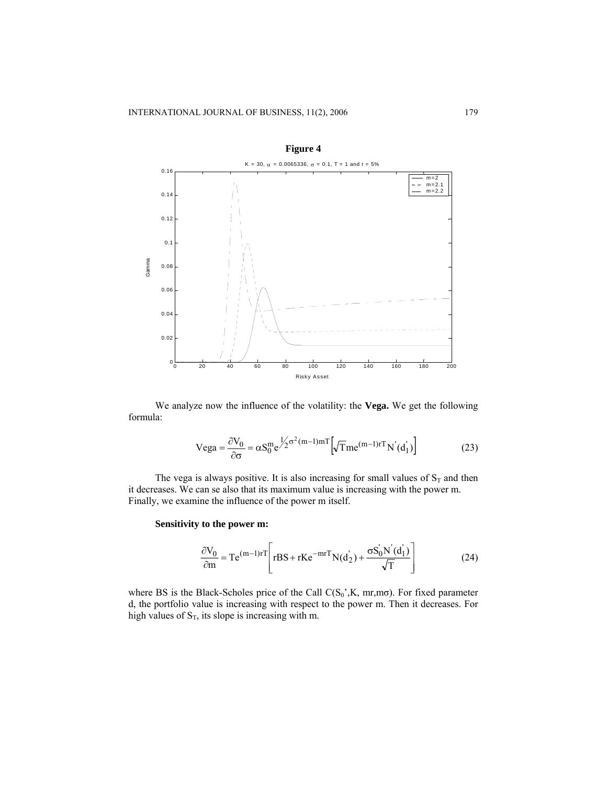

We analyze now the influence of the volatility: the **Vega.** We get the following formula:

$$
Vega = \frac{\partial V_0}{\partial \sigma} = \alpha S_0^m e^{\frac{1}{2} \sigma^2 (m-1)mT} \left[ \sqrt{T} m e^{(m-1)rT} N'(d_1) \right]
$$
(23)

The vega is always positive. It is also increasing for small values of  $S_T$  and then it decreases. We can se also that its maximum value is increasing with the power m. Finally, we examine the influence of the power m itself.

## **Sensitivity to the power m:**

$$
\frac{\partial V_0}{\partial m} = Te^{(m-1)rT} \left[ rBS + rKe^{-mrT} N(d_2) + \frac{\sigma S_0 N'(d_1)}{\sqrt{T}} \right]
$$
(24)

where BS is the Black-Scholes price of the Call  $C(S_0^{\prime}, K, mr, m\sigma)$ . For fixed parameter d, the portfolio value is increasing with respect to the power m. Then it decreases. For high values of  $S_T$ , its slope is increasing with m.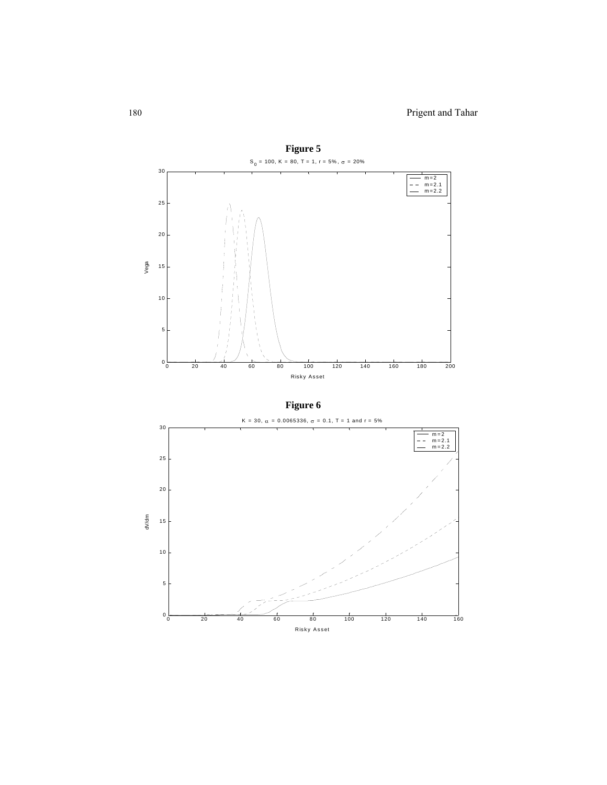

**Figure 6**

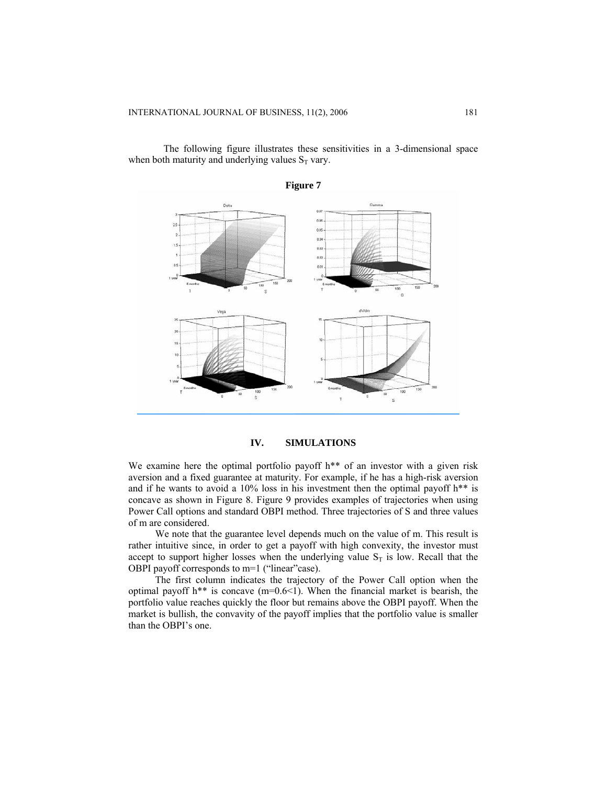The following figure illustrates these sensitivities in a 3-dimensional space when both maturity and underlying values  $S_T$  vary.



**IV. SIMULATIONS**

We examine here the optimal portfolio payoff h<sup>\*\*</sup> of an investor with a given risk aversion and a fixed guarantee at maturity. For example, if he has a high-risk aversion and if he wants to avoid a 10% loss in his investment then the optimal payoff  $h^{**}$  is concave as shown in Figure 8. Figure 9 provides examples of trajectories when using Power Call options and standard OBPI method. Three trajectories of S and three values of m are considered.

We note that the guarantee level depends much on the value of m. This result is rather intuitive since, in order to get a payoff with high convexity, the investor must accept to support higher losses when the underlying value  $S_T$  is low. Recall that the OBPI payoff corresponds to m=1 ("linear"case).

The first column indicates the trajectory of the Power Call option when the optimal payoff h\*\* is concave  $(m=0.6<1)$ . When the financial market is bearish, the portfolio value reaches quickly the floor but remains above the OBPI payoff. When the market is bullish, the convavity of the payoff implies that the portfolio value is smaller than the OBPI's one.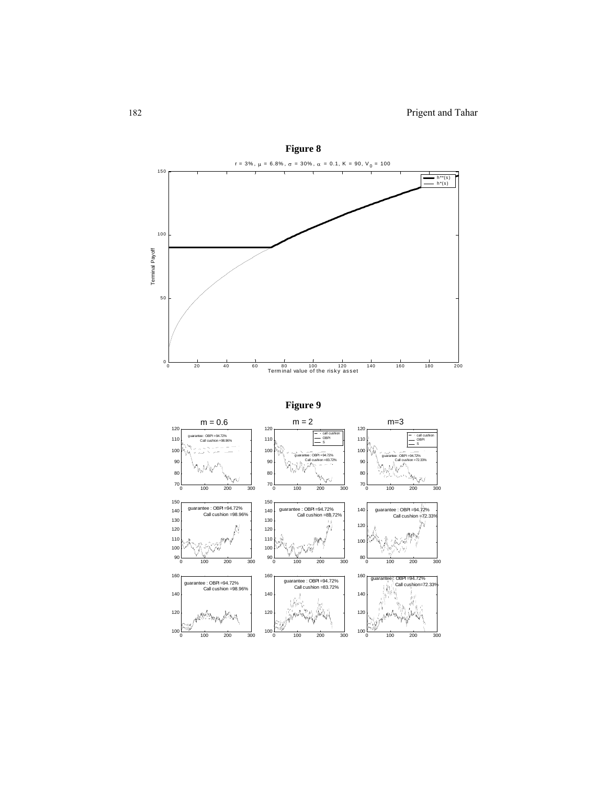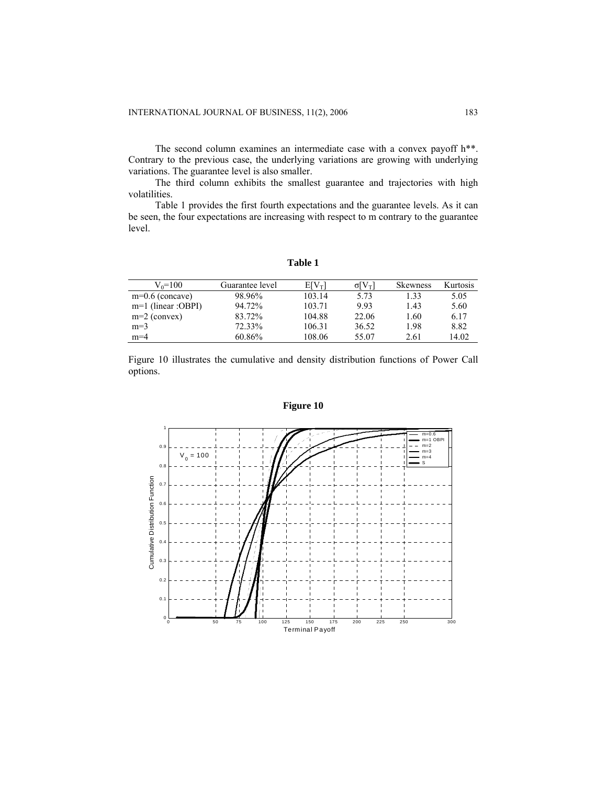The second column examines an intermediate case with a convex payoff h\*\*. Contrary to the previous case, the underlying variations are growing with underlying variations. The guarantee level is also smaller.

The third column exhibits the smallest guarantee and trajectories with high volatilities.

Table 1 provides the first fourth expectations and the guarantee levels. As it can be seen, the four expectations are increasing with respect to m contrary to the guarantee level.

**Table 1**

| $V_0 = 100$          | Guarantee level | $E[V_T]$ | $\sigma$ [ $V_T$ ] | <b>Skewness</b> | Kurtosis |
|----------------------|-----------------|----------|--------------------|-----------------|----------|
| $m=0.6$ (concave)    | 98.96%          | 103.14   | 5.73               | 1.33            | 5.05     |
| $m=1$ (linear :OBPI) | 94.72%          | 103.71   | 9.93               | 1.43            | 5.60     |
| $m=2$ (convex)       | 83.72%          | 104.88   | 22.06              | 1.60            | 6.17     |
| $m=3$                | 72.33%          | 106.31   | 36.52              | 1.98            | 8.82     |
| $m=4$                | 60.86%          | 108.06   | 55.07              | 2.61            | 14.02    |

Figure 10 illustrates the cumulative and density distribution functions of Power Call options.



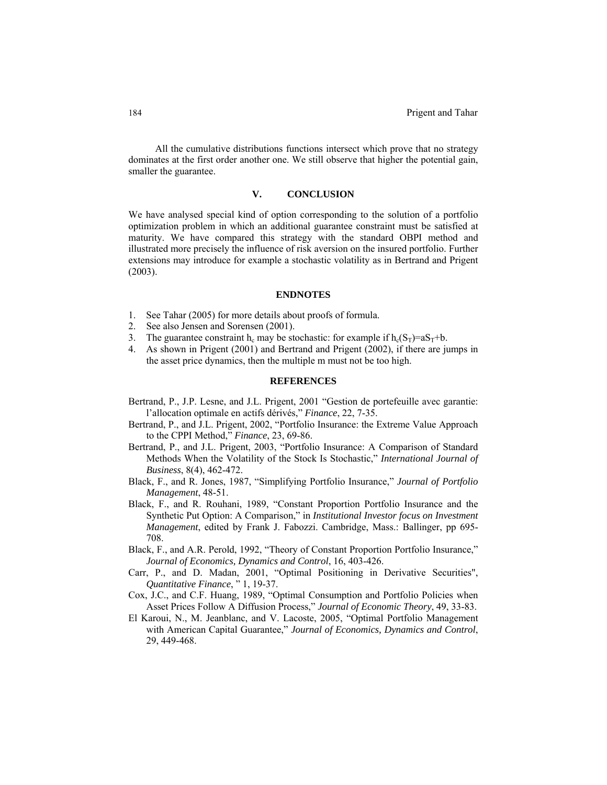All the cumulative distributions functions intersect which prove that no strategy dominates at the first order another one. We still observe that higher the potential gain, smaller the guarantee.

## **V. CONCLUSION**

We have analysed special kind of option corresponding to the solution of a portfolio optimization problem in which an additional guarantee constraint must be satisfied at maturity. We have compared this strategy with the standard OBPI method and illustrated more precisely the influence of risk aversion on the insured portfolio. Further extensions may introduce for example a stochastic volatility as in Bertrand and Prigent (2003).

#### **ENDNOTES**

- 1. See Tahar (2005) for more details about proofs of formula.
- 2. See also Jensen and Sorensen (2001).
- 3. The guarantee constraint h<sub>c</sub> may be stochastic: for example if  $h_c(S_T)=aS_T+b$ .
- 4. As shown in Prigent (2001) and Bertrand and Prigent (2002), if there are jumps in the asset price dynamics, then the multiple m must not be too high.

#### **REFERENCES**

- Bertrand, P., J.P. Lesne, and J.L. Prigent, 2001 "Gestion de portefeuille avec garantie: l'allocation optimale en actifs dérivés," *Finance*, 22, 7-35.
- Bertrand, P., and J.L. Prigent, 2002, "Portfolio Insurance: the Extreme Value Approach to the CPPI Method," *Finance*, 23, 69-86.
- Bertrand, P., and J.L. Prigent, 2003, "Portfolio Insurance: A Comparison of Standard Methods When the Volatility of the Stock Is Stochastic," *International Journal of Business*, 8(4), 462-472.
- Black, F., and R. Jones, 1987, "Simplifying Portfolio Insurance," *Journal of Portfolio Management*, 48-51.
- Black, F., and R. Rouhani, 1989, "Constant Proportion Portfolio Insurance and the Synthetic Put Option: A Comparison," in *Institutional Investor focus on Investment Management*, edited by Frank J. Fabozzi. Cambridge, Mass.: Ballinger, pp 695- 708.
- Black, F., and A.R. Perold, 1992, "Theory of Constant Proportion Portfolio Insurance," *Journal of Economics, Dynamics and Control*, 16, 403-426.
- Carr, P., and D. Madan, 2001, "Optimal Positioning in Derivative Securities", *Quantitative Finance*, " 1, 19-37.
- Cox, J.C., and C.F. Huang, 1989, "Optimal Consumption and Portfolio Policies when Asset Prices Follow A Diffusion Process," *Journal of Economic Theory*, 49, 33-83.
- El Karoui, N., M. Jeanblanc, and V. Lacoste, 2005, "Optimal Portfolio Management with American Capital Guarantee," *Journal of Economics, Dynamics and Control*, 29, 449-468.